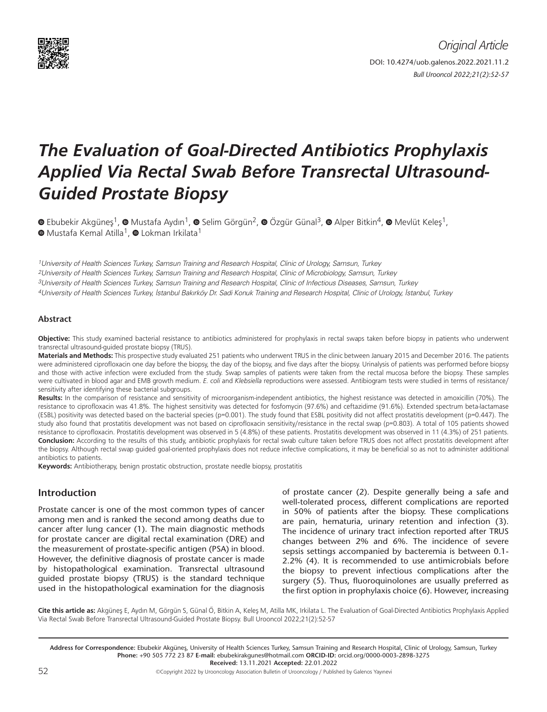

# *The Evaluation of Goal-Directed Antibiotics Prophylaxis Applied Via Rectal Swab Before Transrectal Ultrasound-Guided Prostate Biopsy*

 $\bullet$ Ebubekir Akgüneş<sup>1</sup>,  $\bullet$  Mustafa Aydın<sup>1</sup>,  $\bullet$  Selim Görgün<sup>2</sup>,  $\bullet$  Özgür Günal<sup>3</sup>,  $\bullet$  Alper Bitkin<sup>4</sup>,  $\bullet$  Mevlüt Keleş<sup>1</sup>,  $\bullet$ Mustafa Kemal Atilla<sup>1</sup>,  $\bullet$  Lokman Irkilata<sup>1</sup>

1University of Health Sciences Turkey, Samsun Training and Research Hospital, Clinic of Urology, Samsun, Turkey

2University of Health Sciences Turkey, Samsun Training and Research Hospital, Clinic of Microbiology, Samsun, Turkey

3University of Health Sciences Turkey, Samsun Training and Research Hospital, Clinic of Infectious Diseases, Samsun, Turkey

4University of Health Sciences Turkey, İstanbul Bakırköy Dr. Sadi Konuk Training and Research Hospital, Clinic of Urology, İstanbul, Turkey

#### **Abstract**

**Objective:** This study examined bacterial resistance to antibiotics administered for prophylaxis in rectal swaps taken before biopsy in patients who underwent transrectal ultrasound-guided prostate biopsy (TRUS).

**Materials and Methods:** This prospective study evaluated 251 patients who underwent TRUS in the clinic between January 2015 and December 2016. The patients were administered ciprofloxacin one day before the biopsy, the day of the biopsy, and five days after the biopsy. Urinalysis of patients was performed before biopsy and those with active infection were excluded from the study. Swap samples of patients were taken from the rectal mucosa before the biopsy. These samples were cultivated in blood agar and EMB growth medium. *E. coli* and *Klebsiella* reproductions were assessed. Antibiogram tests were studied in terms of resistance/ sensitivity after identifying these bacterial subgroups.

**Results:** In the comparison of resistance and sensitivity of microorganism-independent antibiotics, the highest resistance was detected in amoxicillin (70%). The resistance to ciprofloxacin was 41.8%. The highest sensitivity was detected for fosfomycin (97.6%) and ceftazidime (91.6%). Extended spectrum beta-lactamase (ESBL) positivity was detected based on the bacterial species (p=0.001). The study found that ESBL positivity did not affect prostatitis development (p=0.447). The study also found that prostatitis development was not based on ciprofloxacin sensitivity/resistance in the rectal swap (p=0.803). A total of 105 patients showed resistance to ciprofloxacin. Prostatitis development was observed in 5 (4.8%) of these patients. Prostatitis development was observed in 11 (4.3%) of 251 patients. **Conclusion:** According to the results of this study, antibiotic prophylaxis for rectal swab culture taken before TRUS does not affect prostatitis development after the biopsy. Although rectal swap guided goal-oriented prophylaxis does not reduce infective complications, it may be beneficial so as not to administer additional antibiotics to patients.

**Keywords:** Antibiotherapy, benign prostatic obstruction, prostate needle biopsy, prostatitis

#### **Introduction**

Prostate cancer is one of the most common types of cancer among men and is ranked the second among deaths due to cancer after lung cancer (1). The main diagnostic methods for prostate cancer are digital rectal examination (DRE) and the measurement of prostate-specific antigen (PSA) in blood. However, the definitive diagnosis of prostate cancer is made by histopathological examination. Transrectal ultrasound guided prostate biopsy (TRUS) is the standard technique used in the histopathological examination for the diagnosis of prostate cancer (2). Despite generally being a safe and well-tolerated process, different complications are reported in 50% of patients after the biopsy. These complications are pain, hematuria, urinary retention and infection (3). The incidence of urinary tract infection reported after TRUS changes between 2% and 6%. The incidence of severe sepsis settings accompanied by bacteremia is between 0.1- 2.2% (4). It is recommended to use antimicrobials before the biopsy to prevent infectious complications after the surgery (5). Thus, fluoroquinolones are usually preferred as the first option in prophylaxis choice (6). However, increasing

**Cite this article as:** Akgüneş E, Aydın M, Görgün S, Günal Ö, Bitkin A, Keleş M, Atilla MK, Irkilata L. The Evaluation of Goal-Directed Antibiotics Prophylaxis Applied Via Rectal Swab Before Transrectal Ultrasound-Guided Prostate Biopsy. Bull Urooncol 2022;21(2):52-57

**Address for Correspondence:** Ebubekir Akgüneş, University of Health Sciences Turkey, Samsun Training and Research Hospital, Clinic of Urology, Samsun, Turkey **Phone:** +90 505 772 23 87 **E-mail:** ebubekirakgunes@hotmail.com **ORCID-ID:** orcid.org/0000-0003-2898-3275 **Received:** 13.11.2021 **Accepted:** 22.01.2022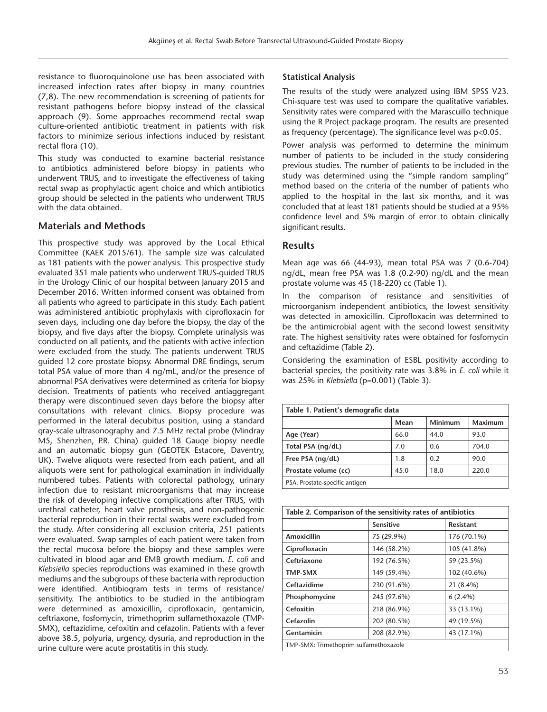resistance to fluoroquinolone use has been associated with increased infection rates after biopsy in many countries (7,8). The new recommendation is screening of patients for resistant pathogens before biopsy instead of the classical approach (9). Some approaches recommend rectal swap culture-oriented antibiotic treatment in patients with risk factors to minimize serious infections induced by resistant rectal flora (10).

This study was conducted to examine bacterial resistance to antibiotics administered before biopsy in patients who underwent TRUS, and to investigate the effectiveness of taking rectal swap as prophylactic agent choice and which antibiotics group should be selected in the patients who underwent TRUS with the data obtained.

## **Materials and Methods**

This prospective study was approved by the Local Ethical Committee (KAEK 2015/61). The sample size was calculated as 181 patients with the power analysis. This prospective study evaluated 351 male patients who underwent TRUS-guided TRUS in the Urology Clinic of our hospital between January 2015 and December 2016. Written informed consent was obtained from all patients who agreed to participate in this study. Each patient was administered antibiotic prophylaxis with ciprofloxacin for seven days, including one day before the biopsy, the day of the biopsy, and five days after the biopsy. Complete urinalysis was conducted on all patients, and the patients with active infection were excluded from the study. The patients underwent TRUS guided 12 core prostate biopsy. Abnormal DRE findings, serum total PSA value of more than 4 ng/mL, and/or the presence of abnormal PSA derivatives were determined as criteria for biopsy decision. Treatments of patients who received antiaggregant therapy were discontinued seven days before the biopsy after consultations with relevant clinics. Biopsy procedure was performed in the lateral decubitus position, using a standard gray-scale ultrasonography and 7.5 MHz rectal probe (Mindray M5, Shenzhen, P.R. China) guided 18 Gauge biopsy needle and an automatic biopsy gun (GEOTEK Estacore, Daventry, UK). Twelve aliquots were resected from each patient, and all aliquots were sent for pathological examination in individually numbered tubes. Patients with colorectal pathology, urinary infection due to resistant microorganisms that may increase the risk of developing infective complications after TRUS, with urethral catheter, heart valve prosthesis, and non-pathogenic bacterial reproduction in their rectal swabs were excluded from the study. After considering all exclusion criteria, 251 patients were evaluated. Swap samples of each patient were taken from the rectal mucosa before the biopsy and these samples were cultivated in blood agar and EMB growth medium. *E. coli* and *Klebsiella* species reproductions was examined in these growth mediums and the subgroups of these bacteria with reproduction were identified. Antibiogram tests in terms of resistance/ sensitivity. The antibiotics to be studied in the antibiogram were determined as amoxicillin, ciprofloxacin, gentamicin, ceftriaxone, fosfomycin, trimethoprim sulfamethoxazole (TMP-SMX), ceftazidime, cefoxitin and cefazolin. Patients with a fever above 38.5, polyuria, urgency, dysuria, and reproduction in the urine culture were acute prostatitis in this study.

#### **Statistical Analysis**

The results of the study were analyzed using IBM SPSS V23. Chi-square test was used to compare the qualitative variables. Sensitivity rates were compared with the Marascuillo technique using the R Project package program. The results are presented as frequency (percentage). The significance level was p<0.05.

Power analysis was performed to determine the minimum number of patients to be included in the study considering previous studies. The number of patients to be included in the study was determined using the "simple random sampling" method based on the criteria of the number of patients who applied to the hospital in the last six months, and it was concluded that at least 181 patients should be studied at a 95% confidence level and 5% margin of error to obtain clinically significant results.

## **Results**

Mean age was 66 (44-93), mean total PSA was 7 (0.6-704) ng/dL, mean free PSA was 1.8 (0.2-90) ng/dL and the mean prostate volume was 45 (18-220) cc (Table 1).

In the comparison of resistance and sensitivities of microorganism independent antibiotics, the lowest sensitivity was detected in amoxicillin. Ciprofloxacin was determined to be the antimicrobial agent with the second lowest sensitivity rate. The highest sensitivity rates were obtained for fosfomycin and ceftazidime (Table 2).

Considering the examination of ESBL positivity according to bacterial species, the positivity rate was 3.8% in *E. coli* while it was 25% in *Klebsiella* (p=0.001) (Table 3).

| Table 1. Patient's demografic data |      |                |         |  |  |
|------------------------------------|------|----------------|---------|--|--|
|                                    | Mean | <b>Minimum</b> | Maximum |  |  |
| Age (Year)                         | 66.0 | 44.0           | 93.0    |  |  |
| Total PSA (ng/dL)                  | 7.0  | 0.6            | 704.0   |  |  |
| Free PSA (ng/dL)                   | 1.8  | 0.2            | 90.0    |  |  |
| Prostate volume (cc)               | 45.0 | 18.0           | 220.0   |  |  |
| PSA: Prostate-specific antigen     |      |                |         |  |  |

| Table 2. Comparison of the sensitivity rates of antibiotics |                  |                  |  |  |  |
|-------------------------------------------------------------|------------------|------------------|--|--|--|
|                                                             | <b>Sensitive</b> | <b>Resistant</b> |  |  |  |
| Amoxicillin                                                 | 75 (29.9%)       | 176 (70.1%)      |  |  |  |
| Ciprofloxacin                                               | 146 (58.2%)      | 105 (41.8%)      |  |  |  |
| Ceftriaxone                                                 | 192 (76.5%)      | 59 (23.5%)       |  |  |  |
| <b>TMP-SMX</b>                                              | 149 (59.4%)      | 102 (40.6%)      |  |  |  |
| Ceftazidime                                                 | 230 (91.6%)      | 21 (8.4%)        |  |  |  |
| Phosphomycine                                               | $6(2.4\%)$       |                  |  |  |  |
| Cefoxitin<br>218 (86.9%)                                    |                  | 33 (13.1%)       |  |  |  |
| Cefazolin                                                   | 202 (80.5%)      | 49 (19.5%)       |  |  |  |
| Gentamicin<br>208 (82.9%)<br>43 (17.1%)                     |                  |                  |  |  |  |
| TMP-SMX: Trimethoprim sulfamethoxazole                      |                  |                  |  |  |  |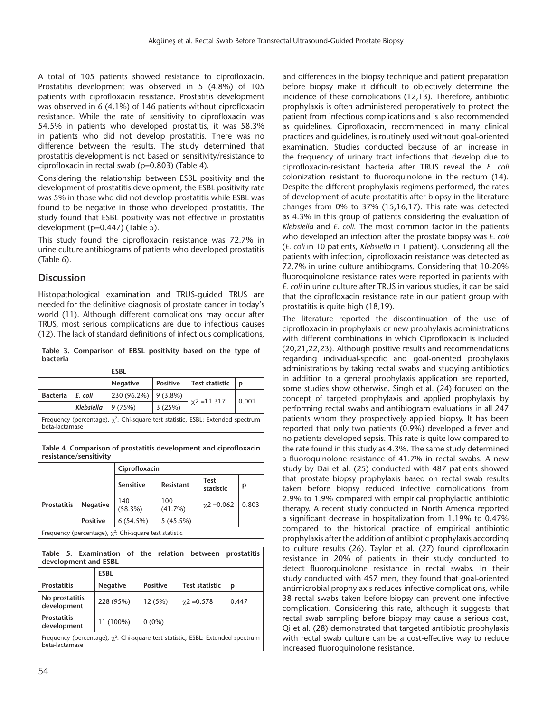A total of 105 patients showed resistance to ciprofloxacin. Prostatitis development was observed in 5 (4.8%) of 105 patients with ciprofloxacin resistance. Prostatitis development was observed in 6 (4.1%) of 146 patients without ciprofloxacin resistance. While the rate of sensitivity to ciprofloxacin was 54.5% in patients who developed prostatitis, it was 58.3% in patients who did not develop prostatitis. There was no difference between the results. The study determined that prostatitis development is not based on sensitivity/resistance to ciprofloxacin in rectal swab (p=0.803) (Table 4).

Considering the relationship between ESBL positivity and the development of prostatitis development, the ESBL positivity rate was 5% in those who did not develop prostatitis while ESBL was found to be negative in those who developed prostatitis. The study found that ESBL positivity was not effective in prostatitis development (p=0.447) (Table 5).

This study found the ciprofloxacin resistance was 72.7% in urine culture antibiograms of patients who developed prostatitis (Table 6).

# **Discussion**

Histopathological examination and TRUS-guided TRUS are needed for the definitive diagnosis of prostate cancer in today's world (11). Although different complications may occur after TRUS, most serious complications are due to infectious causes (12). The lack of standard definitions of infectious complications,

| Table 3. Comparison of EBSL positivity based on the type of<br>bacteria                                 |            |             |            |                   |       |
|---------------------------------------------------------------------------------------------------------|------------|-------------|------------|-------------------|-------|
| <b>ESBL</b>                                                                                             |            |             |            |                   |       |
| <b>Positive</b><br><b>Test statistic</b><br><b>Negative</b><br>р                                        |            |             |            |                   |       |
| <b>Bacteria</b>                                                                                         | E. coli    | 230 (96.2%) | $9(3.8\%)$ |                   |       |
|                                                                                                         | Klebsiella | 9(75%)      | 3(25%)     | $\chi$ 2 = 11.317 | 0.001 |
| Frequency (percentage), $\chi^2$ : Chi-square test statistic, ESBL: Extended spectrum<br>beta-lactamase |            |             |            |                   |       |

**Table 4. Comparison of prostatitis development and ciprofloxacin resistance/sensitivity**

|                                                              |                 | Ciprofloxacin  |                  |                          |       |  |
|--------------------------------------------------------------|-----------------|----------------|------------------|--------------------------|-------|--|
|                                                              |                 | Sensitive      | <b>Resistant</b> | <b>Test</b><br>statistic | p     |  |
| <b>Prostatitis</b>                                           | <b>Negative</b> | 140<br>(58.3%) | 100<br>(41.7%)   | $\chi$ 2 = 0.062         | 0.803 |  |
|                                                              | <b>Positive</b> | 6(54.5%)       | 5(45.5%)         |                          |       |  |
| Frequency (percentage), $\chi^2$ : Chi-square test statistic |                 |                |                  |                          |       |  |

Frequency (percentage),  $\chi^2$ 

| Table 5. Examination of the relation between<br>prostatitis<br>development and ESBL                     |                 |                 |                       |       |  |
|---------------------------------------------------------------------------------------------------------|-----------------|-----------------|-----------------------|-------|--|
|                                                                                                         | <b>ESBL</b>     |                 |                       |       |  |
| <b>Prostatitis</b>                                                                                      | <b>Negative</b> | <b>Positive</b> | <b>Test statistic</b> | p     |  |
| No prostatitis<br>development                                                                           | 228 (95%)       | 12(5%)          | $\chi$ 2 = 0.578      | 0.447 |  |
| <b>Prostatitis</b><br>development                                                                       | 11 (100%)       | $0(0\%)$        |                       |       |  |
| Frequency (percentage), $\chi^2$ : Chi-square test statistic, ESBL: Extended spectrum<br>beta-lactamase |                 |                 |                       |       |  |

and differences in the biopsy technique and patient preparation before biopsy make it difficult to objectively determine the incidence of these complications (12,13). Therefore, antibiotic prophylaxis is often administered peroperatively to protect the patient from infectious complications and is also recommended as guidelines. Ciprofloxacin, recommended in many clinical practices and guidelines, is routinely used without goal-oriented examination. Studies conducted because of an increase in the frequency of urinary tract infections that develop due to ciprofloxacin-resistant bacteria after TRUS reveal the *E. coli* colonization resistant to fluoroquinolone in the rectum (14). Despite the different prophylaxis regimens performed, the rates of development of acute prostatitis after biopsy in the literature changes from 0% to 37% (15,16,17). This rate was detected as 4.3% in this group of patients considering the evaluation of *Klebsiella* and *E. coli*. The most common factor in the patients who developed an infection after the prostate biopsy was *E. coli* (*E. coli* in 10 patients, *Klebsiella* in 1 patient). Considering all the patients with infection, ciprofloxacin resistance was detected as 72.7% in urine culture antibiograms. Considering that 10-20% fluoroquinolone resistance rates were reported in patients with *E. coli* in urine culture after TRUS in various studies, it can be said that the ciprofloxacin resistance rate in our patient group with prostatitis is quite high (18,19).

The literature reported the discontinuation of the use of ciprofloxacin in prophylaxis or new prophylaxis administrations with different combinations in which Ciprofloxacin is included (20,21,22,23). Although positive results and recommendations regarding individual-specific and goal-oriented prophylaxis administrations by taking rectal swabs and studying antibiotics in addition to a general prophylaxis application are reported, some studies show otherwise. Singh et al. (24) focused on the concept of targeted prophylaxis and applied prophylaxis by performing rectal swabs and antibiogram evaluations in all 247 patients whom they prospectively applied biopsy. It has been reported that only two patients (0.9%) developed a fever and no patients developed sepsis. This rate is quite low compared to the rate found in this study as 4.3%. The same study determined a fluoroquinolone resistance of 41.7% in rectal swabs. A new study by Dai et al. (25) conducted with 487 patients showed that prostate biopsy prophylaxis based on rectal swab results taken before biopsy reduced infective complications from 2.9% to 1.9% compared with empirical prophylactic antibiotic therapy. A recent study conducted in North America reported a significant decrease in hospitalization from 1.19% to 0.47% compared to the historical practice of empirical antibiotic prophylaxis after the addition of antibiotic prophylaxis according to culture results (26). Taylor et al. (27) found ciprofloxacin resistance in 20% of patients in their study conducted to detect fluoroquinolone resistance in rectal swabs. In their study conducted with 457 men, they found that goal-oriented antimicrobial prophylaxis reduces infective complications, while 38 rectal swabs taken before biopsy can prevent one infective complication. Considering this rate, although it suggests that rectal swab sampling before biopsy may cause a serious cost, Qi et al. (28) demonstrated that targeted antibiotic prophylaxis with rectal swab culture can be a cost-effective way to reduce increased fluoroquinolone resistance.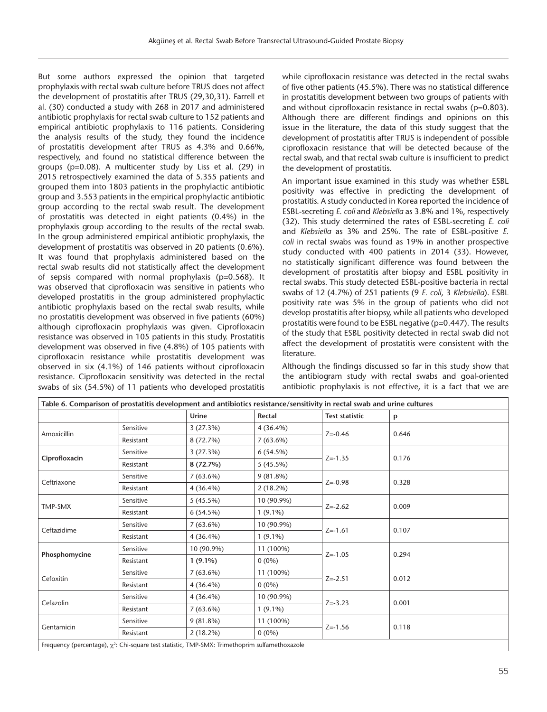But some authors expressed the opinion that targeted prophylaxis with rectal swab culture before TRUS does not affect the development of prostatitis after TRUS (29,30,31). Farrell et al. (30) conducted a study with 268 in 2017 and administered antibiotic prophylaxis for rectal swab culture to 152 patients and empirical antibiotic prophylaxis to 116 patients. Considering the analysis results of the study, they found the incidence of prostatitis development after TRUS as 4.3% and 0.66%, respectively, and found no statistical difference between the groups (p=0.08). A multicenter study by Liss et al. (29) in 2015 retrospectively examined the data of 5.355 patients and grouped them into 1803 patients in the prophylactic antibiotic group and 3.553 patients in the empirical prophylactic antibiotic group according to the rectal swab result. The development of prostatitis was detected in eight patients (0.4%) in the prophylaxis group according to the results of the rectal swab. In the group administered empirical antibiotic prophylaxis, the development of prostatitis was observed in 20 patients (0.6%). It was found that prophylaxis administered based on the rectal swab results did not statistically affect the development of sepsis compared with normal prophylaxis (p=0.568). It was observed that ciprofloxacin was sensitive in patients who developed prostatitis in the group administered prophylactic antibiotic prophylaxis based on the rectal swab results, while no prostatitis development was observed in five patients (60%) although ciprofloxacin prophylaxis was given. Ciprofloxacin resistance was observed in 105 patients in this study. Prostatitis development was observed in five (4.8%) of 105 patients with ciprofloxacin resistance while prostatitis development was observed in six (4.1%) of 146 patients without ciprofloxacin resistance. Ciprofloxacin sensitivity was detected in the rectal swabs of six (54.5%) of 11 patients who developed prostatitis

while ciprofloxacin resistance was detected in the rectal swabs of five other patients (45.5%). There was no statistical difference in prostatitis development between two groups of patients with and without ciprofloxacin resistance in rectal swabs (p=0.803). Although there are different findings and opinions on this issue in the literature, the data of this study suggest that the development of prostatitis after TRUS is independent of possible ciprofloxacin resistance that will be detected because of the rectal swab, and that rectal swab culture is insufficient to predict the development of prostatitis.

An important issue examined in this study was whether ESBL positivity was effective in predicting the development of prostatitis. A study conducted in Korea reported the incidence of ESBL-secreting *E. coli* and *Klebsiella* as 3.8% and 1%, respectively (32). This study determined the rates of ESBL-secreting *E. coli*  and *Klebsiella* as 3% and 25%. The rate of ESBL-positive *E. coli* in rectal swabs was found as 19% in another prospective study conducted with 400 patients in 2014 (33). However, no statistically significant difference was found between the development of prostatitis after biopsy and ESBL positivity in rectal swabs. This study detected ESBL-positive bacteria in rectal swabs of 12 (4.7%) of 251 patients (9 *E. coli*, 3 *Klebsiella*). ESBL positivity rate was 5% in the group of patients who did not develop prostatitis after biopsy, while all patients who developed prostatitis were found to be ESBL negative (p=0.447). The results of the study that ESBL positivity detected in rectal swab did not affect the development of prostatitis were consistent with the literature.

Although the findings discussed so far in this study show that the antibiogram study with rectal swabs and goal-oriented antibiotic prophylaxis is not effective, it is a fact that we are

| Table 6. Comparison of prostatitis development and antibiotics resistance/sensitivity in rectal swab and urine cultures |           |             |             |                       |       |
|-------------------------------------------------------------------------------------------------------------------------|-----------|-------------|-------------|-----------------------|-------|
|                                                                                                                         |           | Urine       | Rectal      | <b>Test statistic</b> | p     |
| Amoxicillin                                                                                                             | Sensitive | 3(27.3%)    | $4(36.4\%)$ | $Z = -0.46$           | 0.646 |
|                                                                                                                         | Resistant | 8 (72.7%)   | 7(63.6%)    |                       |       |
| Ciprofloxacin                                                                                                           | Sensitive | 3(27.3%)    | 6(54.5%)    |                       | 0.176 |
|                                                                                                                         | Resistant | 8(72.7%)    | 5(45.5%)    | $Z = -1.35$           |       |
| Ceftriaxone                                                                                                             | Sensitive | $7(63.6\%)$ | 9(81.8%)    | $Z = -0.98$           | 0.328 |
|                                                                                                                         | Resistant | $4(36.4\%)$ | $2(18.2\%)$ |                       |       |
| TMP-SMX                                                                                                                 | Sensitive | 5(45.5%)    | 10 (90.9%)  | $Z = -2.62$           | 0.009 |
|                                                                                                                         | Resistant | 6(54.5%)    | $1(9.1\%)$  |                       |       |
|                                                                                                                         | Sensitive | $7(63.6\%)$ | 10 (90.9%)  | $Z = -1.61$           | 0.107 |
| Ceftazidime                                                                                                             | Resistant | $4(36.4\%)$ | $1(9.1\%)$  |                       |       |
|                                                                                                                         | Sensitive | 10 (90.9%)  | 11 (100%)   | $Z = -1.05$           | 0.294 |
| Phosphomycine                                                                                                           | Resistant | $1(9.1\%)$  | $0(0\%)$    |                       |       |
| Cefoxitin                                                                                                               | Sensitive | $7(63.6\%)$ | 11 (100%)   | $Z = -2.51$           | 0.012 |
|                                                                                                                         | Resistant | $4(36.4\%)$ | $0(0\%)$    |                       |       |
| Cefazolin                                                                                                               | Sensitive | $4(36.4\%)$ | 10 (90.9%)  | $Z = -3.23$           | 0.001 |
|                                                                                                                         | Resistant | $7(63.6\%)$ | $1(9.1\%)$  |                       |       |
| Gentamicin                                                                                                              | Sensitive | $9(81.8\%)$ | 11 (100%)   |                       |       |
|                                                                                                                         | Resistant | $2(18.2\%)$ | $0(0\%)$    | $Z = -1.56$           | 0.118 |
| Frequency (percentage), $\chi^2$ : Chi-square test statistic, TMP-SMX: Trimethoprim sulfamethoxazole                    |           |             |             |                       |       |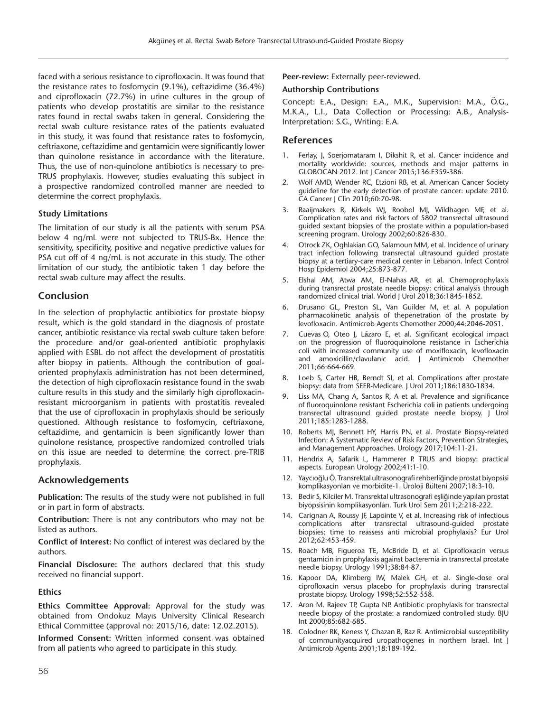faced with a serious resistance to ciprofloxacin. It was found that the resistance rates to fosfomycin (9.1%), ceftazidime (36.4%) and ciprofloxacin (72.7%) in urine cultures in the group of patients who develop prostatitis are similar to the resistance rates found in rectal swabs taken in general. Considering the rectal swab culture resistance rates of the patients evaluated in this study, it was found that resistance rates to fosfomycin, ceftriaxone, ceftazidime and gentamicin were significantly lower than quinolone resistance in accordance with the literature. Thus, the use of non-quinolone antibiotics is necessary to pre-TRUS prophylaxis. However, studies evaluating this subject in a prospective randomized controlled manner are needed to determine the correct prophylaxis.

#### **Study Limitations**

The limitation of our study is all the patients with serum PSA below 4 ng/mL were not subjected to TRUS-Bx. Hence the sensitivity, specificity, positive and negative predictive values for PSA cut off of 4 ng/mL is not accurate in this study. The other limitation of our study, the antibiotic taken 1 day before the rectal swab culture may affect the results.

## **Conclusion**

In the selection of prophylactic antibiotics for prostate biopsy result, which is the gold standard in the diagnosis of prostate cancer, antibiotic resistance via rectal swab culture taken before the procedure and/or goal-oriented antibiotic prophylaxis applied with ESBL do not affect the development of prostatitis after biopsy in patients. Although the contribution of goaloriented prophylaxis administration has not been determined, the detection of high ciprofloxacin resistance found in the swab culture results in this study and the similarly high ciprofloxacinresistant microorganism in patients with prostatitis revealed that the use of ciprofloxacin in prophylaxis should be seriously questioned. Although resistance to fosfomycin, ceftriaxone, ceftazidime, and gentamicin is been significantly lower than quinolone resistance, prospective randomized controlled trials on this issue are needed to determine the correct pre-TRIB prophylaxis.

## **Acknowledgements**

**Publication:** The results of the study were not published in full or in part in form of abstracts.

**Contribution:** There is not any contributors who may not be listed as authors.

**Conflict of Interest:** No conflict of interest was declared by the authors.

**Financial Disclosure:** The authors declared that this study received no financial support.

#### **Ethics**

**Ethics Committee Approval:** Approval for the study was obtained from Ondokuz Mayıs University Clinical Research Ethical Committee (approval no: 2015/16, date: 12.02.2015).

**Informed Consent:** Written informed consent was obtained from all patients who agreed to participate in this study.

**Peer-review:** Externally peer-reviewed.

#### **Authorship Contributions**

Concept: E.A., Design: E.A., M.K., Supervision: M.A., Ö.G., M.K.A., L.I., Data Collection or Processing: A.B., Analysis-Interpretation: S.G., Writing: E.A.

## **References**

- Ferlay, J, Soerjomataram I, Dikshit R, et al. Cancer incidence and mortality worldwide: sources, methods and major patterns in GLOBOCAN 2012. Int J Cancer 2015;136:E359-386.
- 2. Wolf AMD, Wender RC, Etzioni RB, et al. American Cancer Society guideline for the early detection of prostate cancer: update 2010. CA Cancer J Clin 2010;60:70-98.
- 3. Raaijmakers R, Kirkels WJ, Roobol MJ, Wildhagen MF, et al. Complication rates and risk factors of 5802 transrectal ultrasound guided sextant biopsies of the prostate within a population-based screening program. Urology 2002;60:826-830.
- 4. Otrock ZK, Oghlakian GO, Salamoun MM, et al. Incidence of urinary tract infection following transrectal ultrasound guided prostate biopsy at a tertiary-care medical center in Lebanon. Infect Control Hosp Epidemiol 2004;25:873-877.
- 5. Elshal AM, Atwa AM, El-Nahas AR, et al. Chemoprophylaxis during transrectal prostate needle biopsy: critical analysis through randomized clinical trial. World J Urol 2018;36:1845-1852.
- 6. Drusano GL, Preston SL, Van Guilder M, et al. A population pharmacokinetic analysis of thepenetration of the prostate by levofloxacin. Antimicrob Agents Chemother 2000;44:2046-2051.
- 7. Cuevas O, Oteo J, Lázaro E, et al. Significant ecological impact on the progression of fluoroquinolone resistance in Escherichia coli with increased community use of moxifloxacin, levofloxacin and amoxicillin/clavulanic acid. J Antimicrob Chemother 2011;66:664-669.
- 8. Loeb S, Carter HB, Berndt SI, et al. Complications after prostate biopsy: data from SEER-Medicare. J Urol 2011;186:1830-1834.
- 9. Liss MA, Chang A, Santos R, A et al. Prevalence and significance of fluoroquinolone resistant Escherichia coli in patients undergoing transrectal ultrasound guided prostate needle biopsy. J Urol 2011;185:1283-1288.
- 10. Roberts MJ, Bennett HY, Harris PN, et al. Prostate Biopsy-related Infection: A Systematic Review of Risk Factors, Prevention Strategies, and Management Approaches. Urology 2017;104:11-21.
- 11. Hendrix A, Safarik L, Hammerer P. TRUS and biopsy: practical aspects. European Urology 2002;41:1-10.
- 12. Yaycıoğlu Ö. Transrektal ultrasonografi rehberliğinde prostat biyopsisi komplikasyonları ve morbidite-1. Üroloji Bülteni 2007;18:3-10.
- 13. Bedir S, Kilciler M. Transrektal ultrasonografi eşliğinde yapılan prostat biyopsisinin komplikasyonları. Turk Urol Sem 2011;2:218-222.
- 14. Carignan A, Roussy JF, Lapointe V, et al. Increasing risk of infectious complications after transrectal ultrasound-guided prostate biopsies: time to reassess anti microbial prophylaxis? Eur Urol 2012;62:453-459.
- 15. Roach MB, Figueroa TE, McBride D, et al. Ciprofloxacin versus gentamicin in prophylaxis against bacteremia in transrectal prostate needle biopsy. Urology 1991;38:84-87.
- 16. Kapoor DA, Klimberg IW, Malek GH, et al. Single-dose oral ciprofloxacin versus placebo for prophylaxis during transrectal prostate biopsy. Urology 1998;52:552-558.
- 17. Aron M. Rajeev TP, Gupta NP. Antibiotic prophylaxis for transrectal needle biopsy of the prostate: a randomized controlled study. BJU Int 2000;85:682-685.
- 18. Colodner RK, Keness Y, Chazan B, Raz R. Antimicrobial susceptibility of communityacquired uropathogenes in northern Israel. Int J Antimicrob Agents 2001;18:189-192.